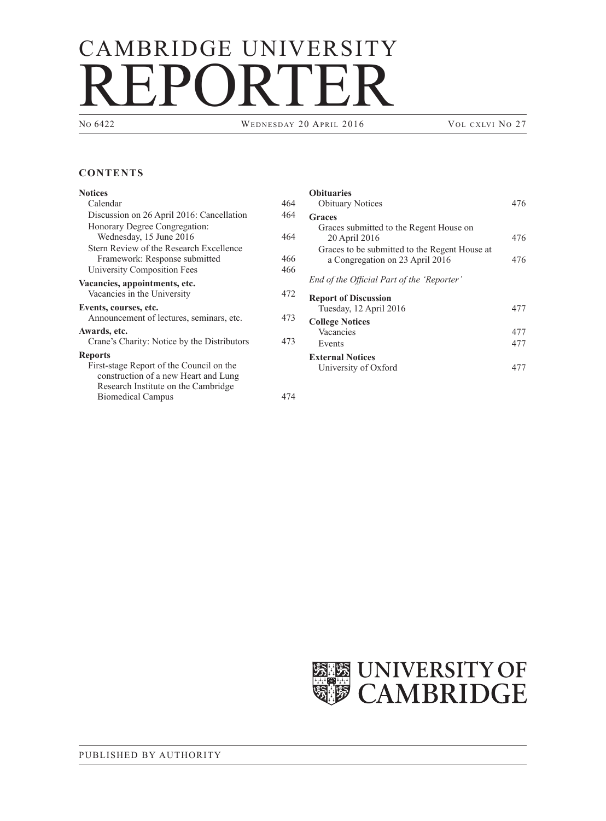## CAMBRIDGE UNIVERSITY REPORTER

WEDNESDAY 20 APRIL 2016 VOL CXLVI NO 27

## **CONTENTS**

| Notices                                                                                                                 |     |
|-------------------------------------------------------------------------------------------------------------------------|-----|
| Calendar                                                                                                                | 464 |
| Discussion on 26 April 2016: Cancellation                                                                               | 464 |
| Honorary Degree Congregation:<br>Wednesday, 15 June 2016                                                                | 464 |
| Stern Review of the Research Excellence<br>Framework: Response submitted                                                | 466 |
| <b>University Composition Fees</b>                                                                                      | 466 |
| Vacancies, appointments, etc.<br>Vacancies in the University                                                            | 472 |
| Events, courses, etc.<br>Announcement of lectures, seminars, etc.                                                       | 473 |
| Awards, etc.                                                                                                            |     |
| Crane's Charity: Notice by the Distributors                                                                             | 473 |
| Reports                                                                                                                 |     |
| First-stage Report of the Council on the<br>construction of a new Heart and Lung<br>Research Institute on the Cambridge |     |
| <b>Biomedical Campus</b>                                                                                                | 474 |

| <b>Obituaries</b><br><b>Obituary Notices</b>                                     | 476 |
|----------------------------------------------------------------------------------|-----|
| Graces                                                                           |     |
| Graces submitted to the Regent House on<br>20 April 2016                         | 476 |
| Graces to be submitted to the Regent House at<br>a Congregation on 23 April 2016 | 476 |
| End of the Official Part of the 'Reporter'                                       |     |
| <b>Report of Discussion</b><br>Tuesday, 12 April 2016                            | 477 |
| <b>College Notices</b>                                                           |     |
| Vacancies                                                                        | 477 |
| Events                                                                           | 477 |
| <b>External Notices</b>                                                          |     |
| University of Oxford                                                             |     |

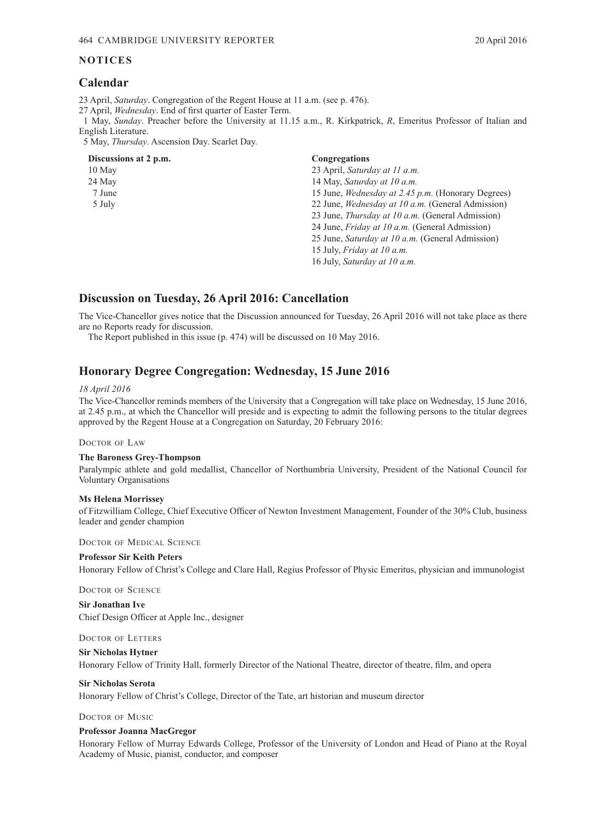### <span id="page-1-0"></span>**NOTICES**

## **Calendar**

23 April, *Saturday*. Congregation of the Regent House at 11 a.m. (see p. 476).

27 April, *Wednesday*. End of first quarter of Easter Term.

1 May, *Sunday*. Preacher before the University at 11.15 a.m., R. Kirkpatrick, *R*, Emeritus Professor of Italian and English Literature.

5 May, *Thursday*. Ascension Day. Scarlet Day.

## **Discussions at 2 p.m. Congregations**

10 May 23 April, *Saturday at 11 a.m.* 24 May 14 May, *Saturday at 10 a.m.* 7 June 15 June, *Wednesday at 2.45 p.m.* (Honorary Degrees) 5 July 22 June, *Wednesday at 10 a.m.* (General Admission) 23 June, *Thursday at 10 a.m.* (General Admission) 24 June, *Friday at 10 a.m.* (General Admission) 25 June, *Saturday at 10 a.m.* (General Admission) 15 July, *Friday at 10 a.m.* 16 July, *Saturday at 10 a.m.*

## **Discussion on Tuesday, 26 April 2016: Cancellation**

The Vice-Chancellor gives notice that the Discussion announced for Tuesday, 26 April 2016 will not take place as there are no Reports ready for discussion.

The Report published in this issue (p. 474) will be discussed on 10 May 2016.

## **Honorary Degree Congregation: Wednesday, 15 June 2016**

### *18 April 2016*

The Vice-Chancellor reminds members of the University that a Congregation will take place on Wednesday, 15 June 2016, at 2.45 p.m., at which the Chancellor will preside and is expecting to admit the following persons to the titular degrees approved by the Regent House at a Congregation on Saturday, 20 February 2016:

### Doctor of Law

### **The Baroness Grey-Thompson**

Paralympic athlete and gold medallist, Chancellor of Northumbria University, President of the National Council for Voluntary Organisations

### **Ms Helena Morrissey**

of Fitzwilliam College, Chief Executive Officer of Newton Investment Management, Founder of the 30% Club, business leader and gender champion

Doctor of Medical Science

### **Professor Sir Keith Peters**

Honorary Fellow of Christ's College and Clare Hall, Regius Professor of Physic Emeritus, physician and immunologist

DOCTOR OF SCIENCE

**Sir Jonathan Ive**  Chief Design Officer at Apple Inc., designer

### Doctor of Letters

### **Sir Nicholas Hytner**

Honorary Fellow of Trinity Hall, formerly Director of the National Theatre, director of theatre, film, and opera

## **Sir Nicholas Serota**

Honorary Fellow of Christ's College, Director of the Tate, art historian and museum director

### Doctor of Music

### **Professor Joanna MacGregor**

Honorary Fellow of Murray Edwards College, Professor of the University of London and Head of Piano at the Royal Academy of Music, pianist, conductor, and composer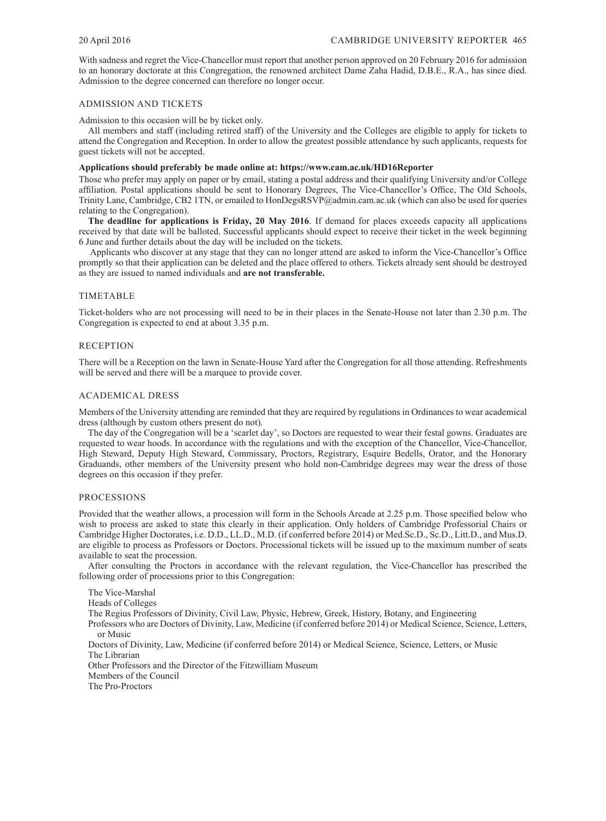With sadness and regret the Vice-Chancellor must report that another person approved on 20 February 2016 for admission to an honorary doctorate at this Congregation, the renowned architect Dame Zaha Hadid, D.B.E., R.A., has since died. Admission to the degree concerned can therefore no longer occur.

### ADMISSION AND TICKETS

Admission to this occasion will be by ticket only.

All members and staff (including retired staff) of the University and the Colleges are eligible to apply for tickets to attend the Congregation and Reception. In order to allow the greatest possible attendance by such applicants, requests for guest tickets will not be accepted.

### **Applications should preferably be made online at: https://www.cam.ac.uk/HD16Reporter**

Those who prefer may apply on paper or by email, stating a postal address and their qualifying University and/or College affiliation. Postal applications should be sent to Honorary Degrees, The Vice-Chancellor's Office, The Old Schools, Trinity Lane, Cambridge, CB2 1TN, or emailed to HonDegsRSVP@admin.cam.ac.uk (which can also be used for queries relating to the Congregation).

**The deadline for applications is Friday, 20 May 2016**. If demand for places exceeds capacity all applications received by that date will be balloted. Successful applicants should expect to receive their ticket in the week beginning 6 June and further details about the day will be included on the tickets.

 Applicants who discover at any stage that they can no longer attend are asked to inform the Vice-Chancellor's Office promptly so that their application can be deleted and the place offered to others. Tickets already sent should be destroyed as they are issued to named individuals and **are not transferable.**

### TIMETABLE

Ticket-holders who are not processing will need to be in their places in the Senate-House not later than 2.30 p.m. The Congregation is expected to end at about 3.35 p.m.

### RECEPTION

There will be a Reception on the lawn in Senate-House Yard after the Congregation for all those attending. Refreshments will be served and there will be a marquee to provide cover.

### ACADEMICAL DRESS

Members of the University attending are reminded that they are required by regulations in Ordinances to wear academical dress (although by custom others present do not).

The day of the Congregation will be a 'scarlet day', so Doctors are requested to wear their festal gowns. Graduates are requested to wear hoods. In accordance with the regulations and with the exception of the Chancellor, Vice-Chancellor, High Steward, Deputy High Steward, Commissary, Proctors, Registrary, Esquire Bedells, Orator, and the Honorary Graduands, other members of the University present who hold non-Cambridge degrees may wear the dress of those degrees on this occasion if they prefer.

### PROCESSIONS

Provided that the weather allows, a procession will form in the Schools Arcade at 2.25 p.m. Those specified below who wish to process are asked to state this clearly in their application. Only holders of Cambridge Professorial Chairs or Cambridge Higher Doctorates, i.e. D.D., LL.D., M.D. (if conferred before 2014) or Med.Sc.D., Sc.D., Litt.D., and Mus.D. are eligible to process as Professors or Doctors. Processional tickets will be issued up to the maximum number of seats available to seat the procession.

After consulting the Proctors in accordance with the relevant regulation, the Vice-Chancellor has prescribed the following order of processions prior to this Congregation:

The Vice-Marshal Heads of Colleges The Regius Professors of Divinity, Civil Law, Physic, Hebrew, Greek, History, Botany, and Engineering Professors who are Doctors of Divinity, Law, Medicine (if conferred before 2014) or Medical Science, Science, Letters, or Music Doctors of Divinity, Law, Medicine (if conferred before 2014) or Medical Science, Science, Letters, or Music The Librarian Other Professors and the Director of the Fitzwilliam Museum Members of the Council

The Pro-Proctors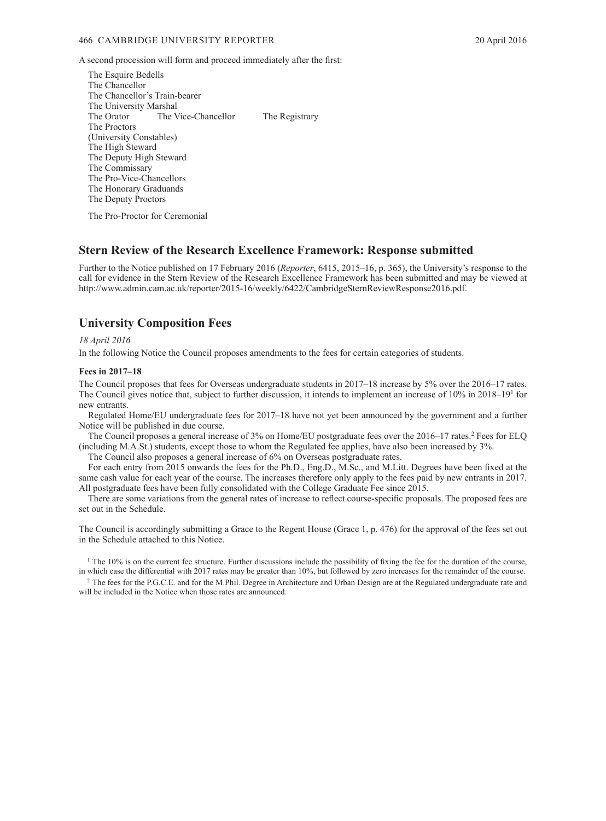<span id="page-3-0"></span>A second procession will form and proceed immediately after the first:

The Esquire Bedells The Chancellor The Chancellor's Train-bearer The University Marshal<br>The Orator The V The Vice-Chancellor The Registrary The Proctors (University Constables) The High Steward The Deputy High Steward The Commissary The Pro-Vice-Chancellors The Honorary Graduands The Deputy Proctors

The Pro-Proctor for Ceremonial

## **Stern Review of the Research Excellence Framework: Response submitted**

Further to the Notice published on 17 February 2016 (*Reporter*, 6415, 2015–16, p. 365), the University's response to the call for evidence in the Stern Review of the Research Excellence Framework has been submitted and may be viewed at http://www.admin.cam.ac.uk/reporter/2015-16/weekly/6422/CambridgeSternReviewResponse2016.pdf.

## **University Composition Fees**

### *18 April 2016*

In the following Notice the Council proposes amendments to the fees for certain categories of students.

### **Fees in 2017–18**

The Council proposes that fees for Overseas undergraduate students in 2017–18 increase by 5% over the 2016–17 rates. The Council gives notice that, subject to further discussion, it intends to implement an increase of 10% in 2018–19<sup>1</sup> for new entrants.

Regulated Home/EU undergraduate fees for 2017–18 have not yet been announced by the government and a further Notice will be published in due course.

The Council proposes a general increase of 3% on Home/EU postgraduate fees over the 2016–17 rates.<sup>2</sup> Fees for ELQ (including M.A.St.) students, except those to whom the Regulated fee applies, have also been increased by 3%.

The Council also proposes a general increase of 6% on Overseas postgraduate rates.

For each entry from 2015 onwards the fees for the Ph.D., Eng.D., M.Sc., and M.Litt. Degrees have been fixed at the same cash value for each year of the course. The increases therefore only apply to the fees paid by new entrants in 2017. All postgraduate fees have been fully consolidated with the College Graduate Fee since 2015.

There are some variations from the general rates of increase to reflect course-specific proposals. The proposed fees are set out in the Schedule.

The Council is accordingly submitting a Grace to the Regent House (Grace 1, p. 476) for the approval of the fees set out in the Schedule attached to this Notice.

<sup>1</sup> The 10% is on the current fee structure. Further discussions include the possibility of fixing the fee for the duration of the course, in which case the differential with 2017 rates may be greater than 10%, but followed by zero increases for the remainder of the course.

<sup>2</sup> The fees for the P.G.C.E. and for the M.Phil. Degree in Architecture and Urban Design are at the Regulated undergraduate rate and will be included in the Notice when those rates are announced.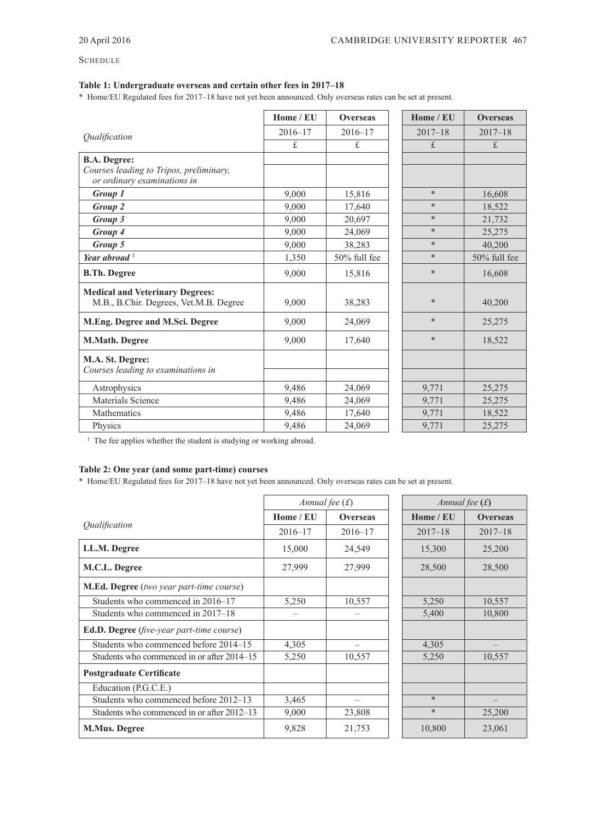## **SCHEDULE**

## **Table 1: Undergraduate overseas and certain other fees in 2017–18**

\* Home/EU Regulated fees for 2017–18 have not yet been announced. Only overseas rates can be set at present.

|                                                                                  | Home / EU   | <b>Overseas</b> | Home / EU   | <b>Overseas</b> |
|----------------------------------------------------------------------------------|-------------|-----------------|-------------|-----------------|
| <i><u><b>Oualification</b></u></i>                                               | $2016 - 17$ | $2016 - 17$     | $2017 - 18$ | $2017 - 18$     |
|                                                                                  | $f$ .       | $f$ .           | f.          | $f$ .           |
| <b>B.A. Degree:</b>                                                              |             |                 |             |                 |
| Courses leading to Tripos, preliminary,<br>or ordinary examinations in           |             |                 |             |                 |
| Group 1                                                                          | 9,000       | 15,816          | $\ast$      | 16,608          |
| Group 2                                                                          | 9,000       | 17,640          | $\ast$      | 18,522          |
| Group 3                                                                          | 9.000       | 20,697          | $\ast$      | 21,732          |
| Group 4                                                                          | 9,000       | 24,069          | $\ast$      | 25,275          |
| Group 5                                                                          | 9,000       | 38,283          | $\ast$      | 40,200          |
| Year abroad $1$                                                                  | 1,350       | 50% full fee    | $\ast$      | $50\%$ full fee |
| <b>B.Th. Degree</b>                                                              | 9,000       | 15,816          | $\ast$      | 16,608          |
| <b>Medical and Veterinary Degrees:</b><br>M.B., B.Chir. Degrees, Vet.M.B. Degree | 9,000       | 38,283          | $\ast$      | 40,200          |
| M.Eng. Degree and M.Sci. Degree                                                  | 9,000       | 24,069          | $\ast$      | 25,275          |
| M.Math. Degree                                                                   | 9.000       | 17,640          | $\ast$      | 18,522          |
| M.A. St. Degree:                                                                 |             |                 |             |                 |
| Courses leading to examinations in                                               |             |                 |             |                 |
| Astrophysics                                                                     | 9,486       | 24,069          | 9,771       | 25,275          |
| Materials Science                                                                | 9,486       | 24,069          | 9,771       | 25,275          |
| Mathematics                                                                      | 9,486       | 17,640          | 9,771       | 18,522          |
| Physics                                                                          | 9,486       | 24,069          | 9,771       | 25,275          |

<sup>1</sup> The fee applies whether the student is studying or working abroad.

## **Table 2: One year (and some part-time) courses**

\* Home/EU Regulated fees for 2017–18 have not yet been announced. Only overseas rates can be set at present.

|                                                  |             | Annual fee $(f)$ | Annual fee $(f)$ |                 |  |
|--------------------------------------------------|-------------|------------------|------------------|-----------------|--|
|                                                  | Home / EU   | <b>Overseas</b>  | Home / EU        | <b>Overseas</b> |  |
| Qualification                                    | $2016 - 17$ | $2016 - 17$      | $2017 - 18$      | $2017 - 18$     |  |
| LL.M. Degree                                     | 15,000      | 24,549           | 15,300           | 25,200          |  |
| M.C.L. Degree                                    | 27,999      | 27,999           | 28,500           | 28,500          |  |
| M.Ed. Degree (two year part-time course)         |             |                  |                  |                 |  |
| Students who commenced in 2016–17                | 5,250       | 10,557           | 5,250            | 10,557          |  |
| Students who commenced in 2017–18                |             |                  | 5,400            | 10,800          |  |
| <b>Ed.D. Degree</b> (five-year part-time course) |             |                  |                  |                 |  |
| Students who commenced before 2014–15            | 4,305       | —                | 4,305            |                 |  |
| Students who commenced in or after 2014–15       | 5,250       | 10,557           | 5,250            | 10,557          |  |
| <b>Postgraduate Certificate</b>                  |             |                  |                  |                 |  |
| Education (P.G.C.E.)                             |             |                  |                  |                 |  |
| Students who commenced before 2012-13            | 3,465       |                  | $\ast$           |                 |  |
| Students who commenced in or after 2012–13       | 9,000       | 23,808           | $\ast$           | 25,200          |  |
| <b>M.Mus. Degree</b>                             | 9,828       | 21,753           | 10,800           | 23,061          |  |

| Annual fee $(f)$ |                 |
|------------------|-----------------|
| Home / EU        | <b>Overseas</b> |
| $2017 - 18$      | $2017 - 18$     |
| 15,300           | 25,200          |
| 28,500           | 28,500          |
|                  |                 |
| 5,250            | 10,557          |
| 5,400            | 10,800          |
|                  |                 |
| 4,305            |                 |
| 5,250            | 10,557          |
|                  |                 |
|                  |                 |
| $\ast$           |                 |
| $\ast$           | 25,200          |
| 10,800           | 23,061          |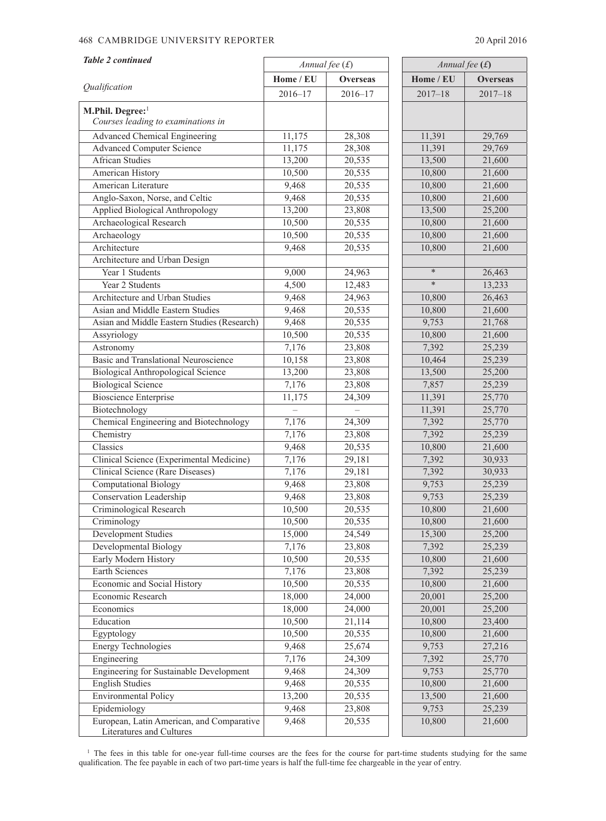## 468 CAMBRIDGE UNIVERSITY REPORTER 20 April 2016

| <b>Table 2 continued</b>                    |             | Annual fee $(f)$ | Annual fee $(f)$ |             |
|---------------------------------------------|-------------|------------------|------------------|-------------|
|                                             | Home / EU   | <b>Overseas</b>  | Home / EU        | Overseas    |
| Qualification                               | $2016 - 17$ | $2016 - 17$      | $2017 - 18$      | $2017 - 18$ |
| M.Phil. Degree:1                            |             |                  |                  |             |
| Courses leading to examinations in          |             |                  |                  |             |
| <b>Advanced Chemical Engineering</b>        | 11,175      | 28,308           | 11,391           | 29,769      |
| <b>Advanced Computer Science</b>            | 11,175      | 28,308           | 11,391           | 29,769      |
| <b>African Studies</b>                      | 13,200      | 20,535           | 13,500           | 21,600      |
| American History                            | 10,500      | 20,535           | 10,800           | 21,600      |
| American Literature                         | 9,468       | 20,535           | 10,800           | 21,600      |
| Anglo-Saxon, Norse, and Celtic              | 9,468       | 20,535           | 10,800           | 21,600      |
| Applied Biological Anthropology             | 13,200      | 23,808           | 13,500           | 25,200      |
| Archaeological Research                     | 10,500      | 20,535           | 10,800           | 21,600      |
| Archaeology                                 | 10,500      | 20,535           | 10,800           | 21,600      |
| Architecture                                | 9,468       | 20,535           | 10,800           | 21,600      |
| Architecture and Urban Design               |             |                  |                  |             |
| Year 1 Students                             | 9,000       | 24,963           | $\ast$           | 26,463      |
| Year 2 Students                             | 4,500       | 12,483           | $\ast$           | 13,233      |
| Architecture and Urban Studies              | 9,468       | 24,963           | 10,800           | 26,463      |
| Asian and Middle Eastern Studies            | 9,468       | 20,535           | 10,800           | 21,600      |
| Asian and Middle Eastern Studies (Research) | 9,468       | 20,535           | 9,753            | 21,768      |
| Assyriology                                 | 10,500      | 20,535           | 10,800           | 21,600      |
| Astronomy                                   | 7,176       | 23,808           | 7,392            | 25,239      |
| Basic and Translational Neuroscience        | 10,158      | 23,808           | 10,464           | 25,239      |
| <b>Biological Anthropological Science</b>   | 13,200      | 23,808           | 13,500           | 25,200      |
| <b>Biological Science</b>                   | 7,176       | 23,808           | 7,857            | 25,239      |
| <b>Bioscience Enterprise</b>                | 11,175      | 24,309           | 11,391           | 25,770      |
| Biotechnology                               |             |                  | 11,391           | 25,770      |
| Chemical Engineering and Biotechnology      | 7,176       | 24,309           | 7,392            | 25,770      |
| Chemistry                                   | 7,176       | 23,808           | 7,392            | 25,239      |
| Classics                                    | 9,468       | 20,535           | 10,800           | 21,600      |
| Clinical Science (Experimental Medicine)    | 7,176       | 29,181           | 7,392            | 30,933      |
| Clinical Science (Rare Diseases)            | 7,176       | 29,181           | 7,392            | 30,933      |
| Computational Biology                       | 9,468       | 23,808           | 9,753            | 25,239      |
| Conservation Leadership                     | 9,468       | 23,808           | 9,753            | 25,239      |
| Criminological Research                     | 10,500      | 20,535           | 10,800           | 21,600      |
| Criminology                                 | 10,500      | 20,535           | 10,800           | 21,600      |
| Development Studies                         | 15,000      | 24,549           | 15,300           | 25,200      |
| Developmental Biology                       | 7,176       | 23,808           | 7,392            | 25,239      |
| Early Modern History                        | 10,500      | 20,535           | 10,800           | 21,600      |
| Earth Sciences                              | 7,176       | 23,808           | 7,392            | 25,239      |
| Economic and Social History                 | 10,500      | 20,535           | 10,800           | 21,600      |
| Economic Research                           | 18,000      | 24,000           | 20,001           | 25,200      |
| Economics                                   | 18,000      | 24,000           | 20,001           | 25,200      |
| Education                                   | 10,500      | 21,114           | 10,800           | 23,400      |
| Egyptology                                  | 10,500      | 20,535           | 10,800           | 21,600      |
| <b>Energy Technologies</b>                  | 9,468       | 25,674           | 9,753            | 27,216      |
| Engineering                                 | 7,176       | 24,309           | 7,392            | 25,770      |
| Engineering for Sustainable Development     | 9,468       | 24,309           | 9,753            | 25,770      |
| <b>English Studies</b>                      | 9,468       | 20,535           | 10,800           | 21,600      |
| <b>Environmental Policy</b>                 | 13,200      | 20,535           | 13,500           | 21,600      |
| Epidemiology                                | 9,468       | 23,808           | 9,753            | 25,239      |
| European, Latin American, and Comparative   | 9,468       | 20,535           | 10,800           | 21,600      |
| Literatures and Cultures                    |             |                  |                  |             |

<sup>1</sup> The fees in this table for one-year full-time courses are the fees for the course for part-time students studying for the same qualification. The fee payable in each of two part-time years is half the full-time fee chargeable in the year of entry.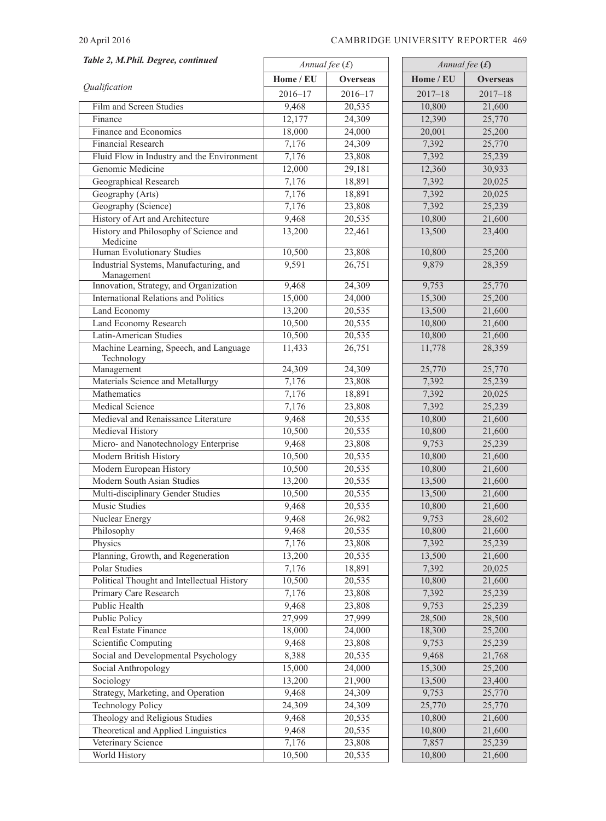### 20 April 2016 CAMBRIDGE UNIVERSITY REPORTER 469

| Table 2, M.Phil. Degree, continued                   |                  |                  | Annual fee $(f)$ |                 |  |  |
|------------------------------------------------------|------------------|------------------|------------------|-----------------|--|--|
|                                                      |                  | Annual fee $(f)$ |                  |                 |  |  |
| Qualification                                        | Home / EU        | <b>Overseas</b>  | Home / EU        | <b>Overseas</b> |  |  |
|                                                      | $2016 - 17$      | $2016 - 17$      | $2017 - 18$      | $2017 - 18$     |  |  |
| Film and Screen Studies                              | 9,468            | 20,535           | 10,800           | 21,600          |  |  |
| Finance                                              | 12,177           | 24,309           | 12,390           | 25,770          |  |  |
| Finance and Economics                                | 18,000           | 24,000           | 20,001           | 25,200          |  |  |
| Financial Research                                   | 7,176            | 24,309           | 7,392            | 25,770          |  |  |
| Fluid Flow in Industry and the Environment           | 7,176            | 23,808           | 7,392            | 25,239          |  |  |
| Genomic Medicine                                     | 12,000           | 29,181           | 12,360           | 30,933          |  |  |
| Geographical Research                                | 7,176            | 18,891           | 7,392            | 20,025          |  |  |
| Geography (Arts)                                     | 7,176            | 18,891           | 7,392            | 20,025          |  |  |
| Geography (Science)                                  | 7,176            | 23,808           | 7,392            | 25,239          |  |  |
| History of Art and Architecture                      | 9,468            | 20,535           | 10,800           | 21,600          |  |  |
| History and Philosophy of Science and                | 13,200           | 22,461           | 13,500           | 23,400          |  |  |
| Medicine<br>Human Evolutionary Studies               | 10,500           | 23,808           | 10,800           | 25,200          |  |  |
| Industrial Systems, Manufacturing, and               | 9,591            | 26,751           | 9,879            | 28,359          |  |  |
| Management                                           |                  |                  |                  |                 |  |  |
| Innovation, Strategy, and Organization               | 9,468            | 24,309           | 9,753            | 25,770          |  |  |
| <b>International Relations and Politics</b>          | 15,000           | 24,000           | 15,300           | 25,200          |  |  |
| Land Economy                                         | 13,200           | 20,535           | 13,500           | 21,600          |  |  |
| <b>Land Economy Research</b>                         | 10,500           | 20,535           | 10,800           | 21,600          |  |  |
| Latin-American Studies                               | 10,500           | 20,535           | 10,800           | 21,600          |  |  |
| Machine Learning, Speech, and Language<br>Technology | 11,433           | 26,751           | 11,778           | 28,359          |  |  |
| Management                                           | 24,309           | 24,309           | 25,770           | 25,770          |  |  |
| Materials Science and Metallurgy                     | 7,176            | 23,808           | 7,392            | 25,239          |  |  |
| Mathematics                                          | 7,176            | 18,891           | 7,392            | 20,025          |  |  |
| <b>Medical Science</b>                               | 7,176            | 23,808           | 7,392            | 25,239          |  |  |
| Medieval and Renaissance Literature                  | 9,468            | 20,535           | 10,800           | 21,600          |  |  |
| Medieval History                                     | 10,500           | 20,535           | 10,800           | 21,600          |  |  |
| Micro- and Nanotechnology Enterprise                 | 9,468            | 23,808           | 9,753            | 25,239          |  |  |
| Modern British History                               | 10,500           | 20,535           | 10,800           | 21,600          |  |  |
| Modern European History                              | 10,500           | 20,535           | 10,800           | 21,600          |  |  |
| <b>Modern South Asian Studies</b>                    | 13,200           | 20,535           | 13,500           | 21,600          |  |  |
| Multi-disciplinary Gender Studies                    | 10,500           | 20,535           | 13,500           | 21,600          |  |  |
| Music Studies                                        | 9,468            | 20,535           | 10,800           | 21,600          |  |  |
| Nuclear Energy                                       | 9,468            | 26,982           | 9,753            | 28,602          |  |  |
| Philosophy                                           | 9,468            | 20,535           | 10,800           | 21,600          |  |  |
| Physics                                              | 7,176            | 23,808           | 7,392            | 25,239          |  |  |
| Planning, Growth, and Regeneration                   | 13,200           | 20,535           | 13,500           | 21,600          |  |  |
| Polar Studies                                        | 7,176            | 18,891           | 7,392            | 20,025          |  |  |
| Political Thought and Intellectual History           | 10,500           | 20,535           | 10,800           | 21,600          |  |  |
| Primary Care Research                                | 7,176            | 23,808           | 7,392            | 25,239          |  |  |
| Public Health                                        | 9,468            | 23,808           | 9,753            | 25,239          |  |  |
| Public Policy                                        | 27,999           | 27,999           | 28,500           | 28,500          |  |  |
| Real Estate Finance                                  | 18,000           | 24,000           | 18,300           | 25,200          |  |  |
| Scientific Computing                                 | 9,468            | 23,808           | 9,753            | 25,239          |  |  |
| Social and Developmental Psychology                  | 8,388            | 20,535           | 9,468            | 21,768          |  |  |
| Social Anthropology                                  |                  |                  |                  | 25,200          |  |  |
| Sociology                                            | 15,000<br>13,200 | 24,000<br>21,900 | 15,300<br>13,500 | 23,400          |  |  |
|                                                      |                  |                  |                  |                 |  |  |
| Strategy, Marketing, and Operation                   | 9,468            | 24,309           | 9,753            | 25,770          |  |  |
| <b>Technology Policy</b>                             | 24,309           | 24,309           | 25,770           | 25,770          |  |  |
| Theology and Religious Studies                       | 9,468            | 20,535           | 10,800           | 21,600          |  |  |
| Theoretical and Applied Linguistics                  | 9,468            | 20,535           | 10,800           | 21,600          |  |  |
| Veterinary Science                                   | 7,176            | 23,808           | 7,857            | 25,239          |  |  |
| World History                                        | 10,500           | 20,535           | 10,800           | 21,600          |  |  |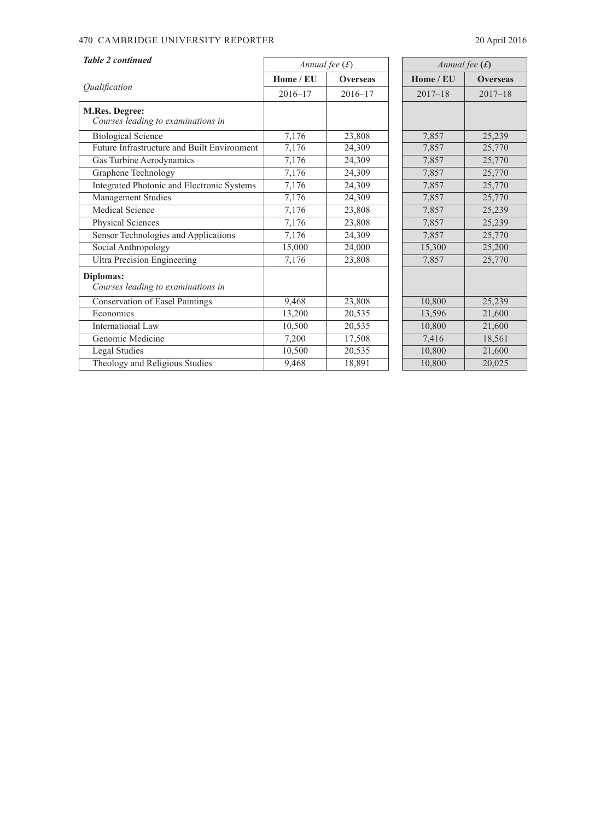## 470 CAMBRIDGE UNIVERSITY REPORTER 20 April 2016

| <b>Table 2 continued</b>                             | Annual fee $(f)$ |                 |             | Annual fee $(f)$ |  |  |
|------------------------------------------------------|------------------|-----------------|-------------|------------------|--|--|
|                                                      | Home / EU        | <b>Overseas</b> | Home / EU   | <b>Overseas</b>  |  |  |
| Qualification                                        | $2016 - 17$      | $2016 - 17$     | $2017 - 18$ | $2017 - 18$      |  |  |
| M.Res. Degree:<br>Courses leading to examinations in |                  |                 |             |                  |  |  |
| <b>Biological Science</b>                            | 7,176            | 23,808          | 7,857       | 25,239           |  |  |
| Future Infrastructure and Built Environment          | 7,176            | 24,309          | 7,857       | 25,770           |  |  |
| Gas Turbine Aerodynamics                             | 7,176            | 24,309          | 7,857       | 25,770           |  |  |
| Graphene Technology                                  | 7,176            | 24,309          | 7,857       | 25,770           |  |  |
| Integrated Photonic and Electronic Systems           | 7,176            | 24,309          | 7,857       | 25,770           |  |  |
| Management Studies                                   | 7,176            | 24,309          | 7,857       | 25,770           |  |  |
| <b>Medical Science</b>                               | 7,176            | 23,808          | 7,857       | 25,239           |  |  |
| Physical Sciences                                    | 7,176            | 23,808          | 7,857       | 25,239           |  |  |
| Sensor Technologies and Applications                 | 7,176            | 24,309          | 7,857       | 25,770           |  |  |
| Social Anthropology                                  | 15,000           | 24,000          | 15,300      | 25,200           |  |  |
| <b>Ultra Precision Engineering</b>                   | 7,176            | 23,808          | 7,857       | 25,770           |  |  |
| Diplomas:<br>Courses leading to examinations in      |                  |                 |             |                  |  |  |
| <b>Conservation of Easel Paintings</b>               | 9,468            | 23,808          | 10,800      | 25,239           |  |  |
| Economics                                            | 13,200           | 20,535          | 13,596      | 21,600           |  |  |
| International Law                                    | 10,500           | 20,535          | 10,800      | 21,600           |  |  |
| Genomic Medicine                                     | 7,200            | 17,508          | 7,416       | 18,561           |  |  |
| Legal Studies                                        | 10,500           | 20,535          | 10,800      | 21,600           |  |  |
| Theology and Religious Studies                       | 9,468            | 18,891          | 10,800      | 20,025           |  |  |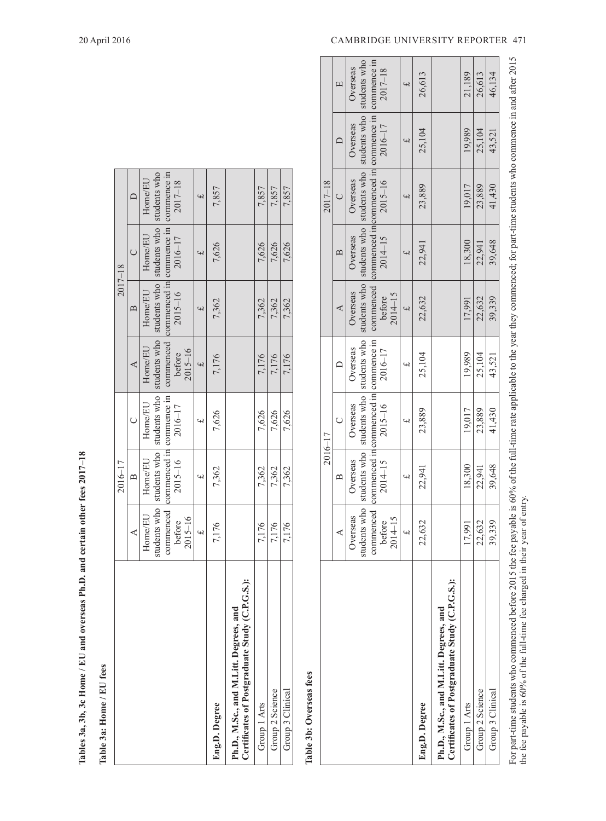| ۱<br>i         |
|----------------|
|                |
|                |
|                |
| i<br>I         |
|                |
|                |
|                |
|                |
|                |
|                |
|                |
|                |
|                |
|                |
|                |
|                |
|                |
|                |
|                |
|                |
| $\overline{a}$ |
| í<br>i         |
|                |
|                |
|                |
|                |
|                |
|                |
| <b>PHI and</b> |
| į              |
|                |
|                |
| ì              |
|                |
|                |
| Ĭ              |
|                |
| ļ              |
|                |
|                |
|                |
| ï              |
|                |
|                |
|                |
|                |
|                |
|                |
|                |

| Tables 3a, 3b, 3c Home / EU and overseas Ph.D. and certain other fees $2017-18$            |              |                                    |                             |              |                                                |                                            |                |
|--------------------------------------------------------------------------------------------|--------------|------------------------------------|-----------------------------|--------------|------------------------------------------------|--------------------------------------------|----------------|
| Table 3a: Home / EU fees                                                                   |              |                                    |                             |              |                                                |                                            |                |
|                                                                                            |              | 2016-17                            |                             |              | $2017 - 18$                                    |                                            |                |
|                                                                                            | ⋖            | $\mathbf{r}$                       | Ü                           | ∢            | $\mathbf{\Omega}$                              |                                            |                |
|                                                                                            | Home/EU      | Home/EU                            | Home/EU                     | Home/EU      | Home/EU                                        | Home/EU                                    | Home/EU        |
|                                                                                            | students who |                                    | students who   students who | students who |                                                | students who   students who   students who |                |
|                                                                                            |              | commenced commenced in commence in |                             |              | commenced commenced in commence in commence in |                                            |                |
|                                                                                            | before       | $2015 - 16$                        | 2016-17                     | before       | $2015 - 16$                                    | $2016 - 17$                                | $2017 - 18$    |
|                                                                                            | $2015 - 16$  |                                    |                             | $2015 - 16$  |                                                |                                            |                |
|                                                                                            | $\ddot{ }$   | ؠ                                  | $\overline{u}$              | $\downarrow$ | $\overline{r}$                                 | $\overline{f}$                             | $\overline{f}$ |
| Eng.D. Degree                                                                              | 7,176        | 7,362                              | 7,626                       | 7,176        | 7,362                                          | 7,626                                      | 7,857          |
| G.S.<br>Certificates of Postgraduate Study (C.P.<br>Ph.D., M.Sc., and M.Litt. Degrees, and |              |                                    |                             |              |                                                |                                            |                |
| Group 1 Arts                                                                               | 7,176        | 7,362                              | 7,626                       | 7,176        | 7,362                                          | 7,626                                      | 7,857          |
| Group 2 Science                                                                            | 7,176        | 7.362                              | 7,626                       | 7,176        | 7.362                                          | 7,626                                      | 7,857          |
| Group 3 Clinical                                                                           | 7,176        | 7,362                              | 7,626                       | 7,176        | 7,362                                          | 7,626                                      | 7,857          |

# Table 3b: Overseas fees **Table 3b: Overseas fees**

| $2017 - 18$<br>2016–17 | 凹<br>$\overline{C}$<br>≃<br>⋖<br>Ō<br>$\approx$<br>⋖ | Overseas<br>Overseas<br>Overseas<br>Overseas<br>Overseas<br>Overseas<br>Overseas<br>Overseas<br>Overseas | students who<br>students who $\vert$ students who $\vert$ students who $\vert$ students who $\vert$<br>students who   students who   students who  <br>students who | commenced commenced incommenced in commence in commence in<br>commenced in commenced in commence in<br>commenced | $2017 - 18$<br>2016-17<br>$2015 - 16$<br>$2014 - 15$<br>before<br>2016-17<br>$2015 - 16$<br>$2014 - 15$<br>before | 2014-15<br>$2014 - 1$ | $\ddot{}$<br>$\ddot{}$<br>$\ddot{}$<br>$\ddot{}$<br>$\overline{\mathbf{f}}$<br>$\overline{\mathbf{f}}$<br>$\rightarrow$<br>$\ddot{ }$ | 26,613<br>25,104<br>23,889<br>22,941<br>22,632<br>25,104<br>23,889<br>22,941<br>22,632 |                                                                                          | 21,189<br>19.989<br>19,017<br>18,300<br>17.991<br>19.989<br>19.017<br>18,300<br>17.991 | 26,613<br>25,104<br>23,889<br>22,941<br>22,632<br>25,104<br>23,889<br>22,941<br>22,632 | 46.134<br>43,521<br>41,430<br>39,648<br>39.339<br>43.521<br>41,430<br>39,648<br>39,339 |
|------------------------|------------------------------------------------------|----------------------------------------------------------------------------------------------------------|---------------------------------------------------------------------------------------------------------------------------------------------------------------------|------------------------------------------------------------------------------------------------------------------|-------------------------------------------------------------------------------------------------------------------|-----------------------|---------------------------------------------------------------------------------------------------------------------------------------|----------------------------------------------------------------------------------------|------------------------------------------------------------------------------------------|----------------------------------------------------------------------------------------|----------------------------------------------------------------------------------------|----------------------------------------------------------------------------------------|
|                        |                                                      |                                                                                                          |                                                                                                                                                                     |                                                                                                                  |                                                                                                                   |                       |                                                                                                                                       | Eng.D. Degree                                                                          | Certificates of Postgraduate Study (C.P.G.S.):<br>Ph.D., M.Sc., and M.Litt. Degrees, and | Group 1 Arts                                                                           | Group 2 Science                                                                        | Group 3 Clinical                                                                       |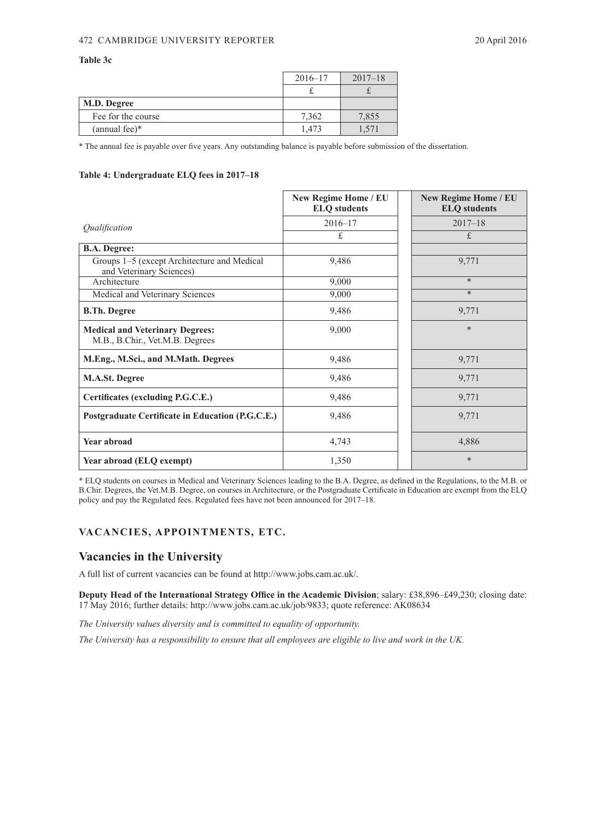### <span id="page-9-0"></span>472 CAMBRIDGE UNIVERSITY REPORTER 20 April 2016

### **Table 3c**

|                    | $2016 - 17$ | $2017 - 18$ |
|--------------------|-------------|-------------|
|                    |             |             |
| M.D. Degree        |             |             |
| Fee for the course | 7.362       | 7,855       |
| $(annual fee)*$    | 1.473       |             |

\* The annual fee is payable over five years. Any outstanding balance is payable before submission of the dissertation.

### **Table 4: Undergraduate ELQ fees in 2017–18**

|                                                                           | New Regime Home / EU<br><b>ELQ</b> students | <b>New Regime Home / EU</b><br><b>ELQ</b> students |
|---------------------------------------------------------------------------|---------------------------------------------|----------------------------------------------------|
| Qualification                                                             | $2016 - 17$                                 | $2017 - 18$                                        |
|                                                                           | £                                           | £                                                  |
| <b>B.A. Degree:</b>                                                       |                                             |                                                    |
| Groups 1–5 (except Architecture and Medical<br>and Veterinary Sciences)   | 9,486                                       | 9,771                                              |
| Architecture                                                              | 9,000                                       | $\ast$                                             |
| Medical and Veterinary Sciences                                           | 9,000                                       | $\ast$                                             |
| <b>B.Th. Degree</b>                                                       | 9,486                                       | 9,771                                              |
| <b>Medical and Veterinary Degrees:</b><br>M.B., B.Chir., Vet.M.B. Degrees | 9,000                                       | $\ast$                                             |
| M.Eng., M.Sci., and M.Math. Degrees                                       | 9,486                                       | 9,771                                              |
| <b>M.A.St. Degree</b>                                                     | 9,486                                       | 9,771                                              |
| Certificates (excluding P.G.C.E.)                                         | 9,486                                       | 9,771                                              |
| Postgraduate Certificate in Education (P.G.C.E.)                          | 9,486                                       | 9,771                                              |
| Year abroad                                                               | 4,743                                       | 4,886                                              |
| Year abroad (ELQ exempt)                                                  | 1,350                                       | $\ast$                                             |

\* ELQ students on courses in Medical and Veterinary Sciences leading to the B.A. Degree, as defined in the Regulations, to the M.B. or B.Chir. Degrees, the Vet.M.B. Degree, on courses in Architecture, or the Postgraduate Certificate in Education are exempt from the ELQ policy and pay the Regulated fees. Regulated fees have not been announced for 2017–18.

## **VACANCIES, APPOINTMENTS, ETC.**

## **Vacancies in the University**

A full list of current vacancies can be found at http://www.jobs.cam.ac.uk/.

**Deputy Head of the International Strategy Office in the Academic Division**; salary: £38,896–£49,230; closing date: 17 May 2016; further details: http://www.jobs.cam.ac.uk/job/9833; quote reference: AK08634

*The University values diversity and is committed to equality of opportunity.*

*The University has a responsibility to ensure that all employees are eligible to live and work in the UK.*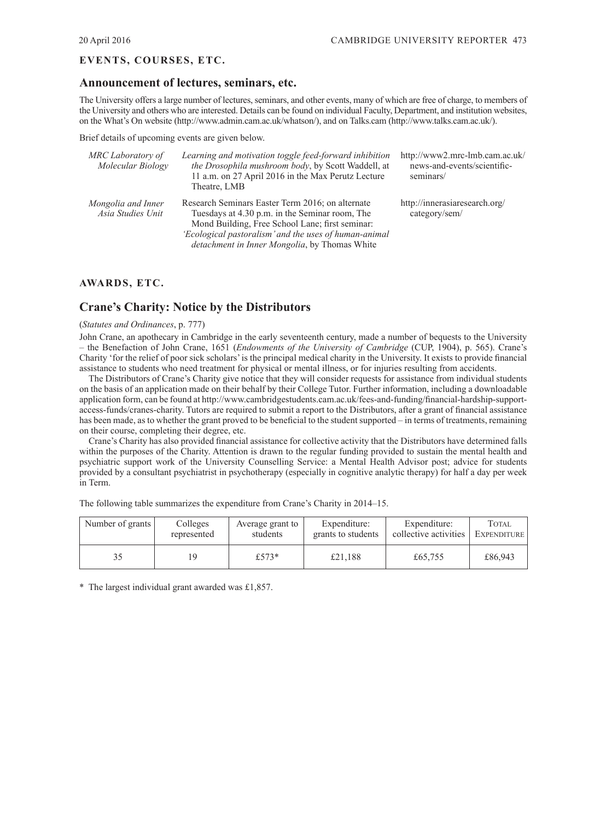## <span id="page-10-0"></span>**EVENTS, COURSES, ETC.**

## **Announcement of lectures, seminars, etc.**

The University offers a large number of lectures, seminars, and other events, many of which are free of charge, to members of the University and others who are interested. Details can be found on individual Faculty, Department, and institution websites, on the What's On website (http://www.admin.cam.ac.uk/whatson/), and on Talks.cam (http://www.talks.cam.ac.uk/).

Brief details of upcoming events are given below.

| MRC Laboratory of<br>Molecular Biology  | Learning and motivation toggle feed-forward inhibition<br>the Drosophila mushroom body, by Scott Waddell, at<br>11 a.m. on 27 April 2016 in the Max Perutz Lecture<br>Theatre, LMB                                                                                     | http://www2.mrc-lmb.cam.ac.uk/<br>news-and-events/scientific-<br>seminars/ |
|-----------------------------------------|------------------------------------------------------------------------------------------------------------------------------------------------------------------------------------------------------------------------------------------------------------------------|----------------------------------------------------------------------------|
| Mongolia and Inner<br>Asia Studies Unit | Research Seminars Easter Term 2016; on alternate<br>Tuesdays at 4.30 p.m. in the Seminar room, The<br>Mond Building, Free School Lane; first seminar:<br>'Ecological pastoralism' and the uses of human-animal<br><i>detachment in Inner Mongolia, by Thomas White</i> | http://innerasiaresearch.org/<br>category/sem/                             |

## **AWARDS, ETC.**

## **Crane's Charity: Notice by the Distributors**

### (*Statutes and Ordinances*, p. 777)

John Crane, an apothecary in Cambridge in the early seventeenth century, made a number of bequests to the University – the Benefaction of John Crane, 1651 (*Endowments of the University of Cambridge* (CUP, 1904), p. 565). Crane's Charity 'for the relief of poor sick scholars' is the principal medical charity in the University. It exists to provide financial assistance to students who need treatment for physical or mental illness, or for injuries resulting from accidents.

The Distributors of Crane's Charity give notice that they will consider requests for assistance from individual students on the basis of an application made on their behalf by their College Tutor. Further information, including a downloadable application form, can be found at http://www.cambridgestudents.cam.ac.uk/fees-and-funding/financial-hardship-supportaccess-funds/cranes-charity. Tutors are required to submit a report to the Distributors, after a grant of financial assistance has been made, as to whether the grant proved to be beneficial to the student supported – in terms of treatments, remaining on their course, completing their degree, etc.

Crane's Charity has also provided financial assistance for collective activity that the Distributors have determined falls within the purposes of the Charity. Attention is drawn to the regular funding provided to sustain the mental health and psychiatric support work of the University Counselling Service: a Mental Health Advisor post; advice for students provided by a consultant psychiatrist in psychotherapy (especially in cognitive analytic therapy) for half a day per week in Term.

The following table summarizes the expenditure from Crane's Charity in 2014–15.

| Number of grants | Colleges    | Average grant to | Expenditure:       | Expenditure:          | TOTAL.      |
|------------------|-------------|------------------|--------------------|-----------------------|-------------|
|                  | represented | students         | grants to students | collective activities | EXPENDITURE |
| 35               | 1 Q         | £573*            | £21.188            | £65,755               | £86,943     |

\* The largest individual grant awarded was £1,857.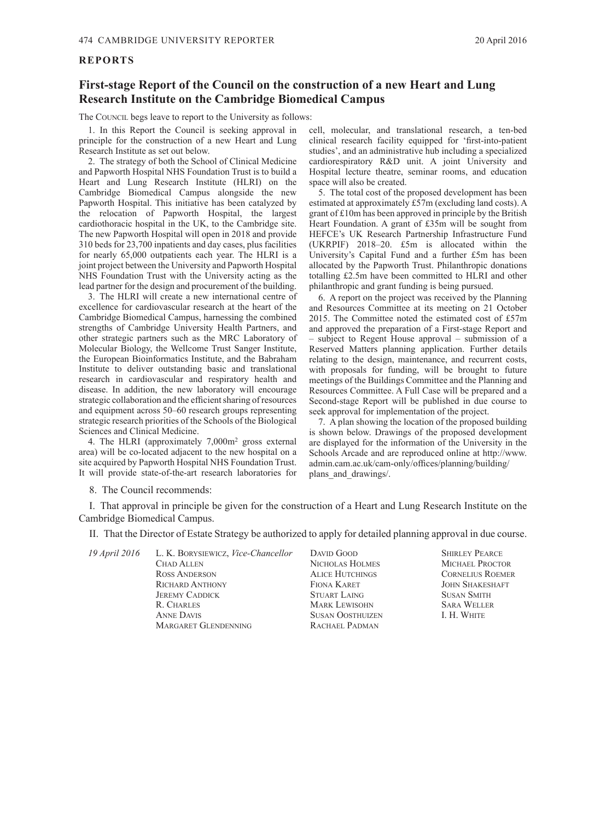### <span id="page-11-0"></span>**REPORTS**

## **First-stage Report of the Council on the construction of a new Heart and Lung Research Institute on the Cambridge Biomedical Campus**

The COUNCIL begs leave to report to the University as follows:

1. In this Report the Council is seeking approval in principle for the construction of a new Heart and Lung Research Institute as set out below.

2. The strategy of both the School of Clinical Medicine and Papworth Hospital NHS Foundation Trust is to build a Heart and Lung Research Institute (HLRI) on the Cambridge Biomedical Campus alongside the new Papworth Hospital. This initiative has been catalyzed by the relocation of Papworth Hospital, the largest cardiothoracic hospital in the UK, to the Cambridge site. The new Papworth Hospital will open in 2018 and provide 310 beds for 23,700 inpatients and day cases, plus facilities for nearly 65,000 outpatients each year. The HLRI is a joint project between the University and Papworth Hospital NHS Foundation Trust with the University acting as the lead partner for the design and procurement of the building.

3. The HLRI will create a new international centre of excellence for cardiovascular research at the heart of the Cambridge Biomedical Campus, harnessing the combined strengths of Cambridge University Health Partners, and other strategic partners such as the MRC Laboratory of Molecular Biology, the Wellcome Trust Sanger Institute, the European Bioinformatics Institute, and the Babraham Institute to deliver outstanding basic and translational research in cardiovascular and respiratory health and disease. In addition, the new laboratory will encourage strategic collaboration and the efficient sharing of resources and equipment across 50–60 research groups representing strategic research priorities of the Schools of the Biological Sciences and Clinical Medicine.

4. The HLRI (approximately 7,000m<sup>2</sup> gross external area) will be co-located adjacent to the new hospital on a site acquired by Papworth Hospital NHS Foundation Trust. It will provide state-of-the-art research laboratories for

cell, molecular, and translational research, a ten-bed clinical research facility equipped for 'first-into-patient studies', and an administrative hub including a specialized cardiorespiratory R&D unit. A joint University and Hospital lecture theatre, seminar rooms, and education space will also be created.

5. The total cost of the proposed development has been estimated at approximately £57m (excluding land costs). A grant of £10m has been approved in principle by the British Heart Foundation. A grant of £35m will be sought from HEFCE's UK Research Partnership Infrastructure Fund (UKRPIF) 2018–20. £5m is allocated within the University's Capital Fund and a further £5m has been allocated by the Papworth Trust. Philanthropic donations totalling £2.5m have been committed to HLRI and other philanthropic and grant funding is being pursued.

6. A report on the project was received by the Planning and Resources Committee at its meeting on 21 October 2015. The Committee noted the estimated cost of £57m and approved the preparation of a First-stage Report and – subject to Regent House approval – submission of a Reserved Matters planning application. Further details relating to the design, maintenance, and recurrent costs, with proposals for funding, will be brought to future meetings of the Buildings Committee and the Planning and Resources Committee. A Full Case will be prepared and a Second-stage Report will be published in due course to seek approval for implementation of the project.

7. A plan showing the location of the proposed building is shown below. Drawings of the proposed development are displayed for the information of the University in the Schools Arcade and are reproduced online at http://www. admin.cam.ac.uk/cam-only/offices/planning/building/ plans and drawings/.

8. The Council recommends:

I. That approval in principle be given for the construction of a Heart and Lung Research Institute on the Cambridge Biomedical Campus.

II. That the Director of Estate Strategy be authorized to apply for detailed planning approval in due course.

| 19 April 2016 | L. K. BORYSIEWICZ, Vice-Chancellor | DAVID GOOD              | <b>SHIRLEY PEARCE</b>   |
|---------------|------------------------------------|-------------------------|-------------------------|
|               | <b>CHAD ALLEN</b>                  | NICHOLAS HOLMES         | <b>MICHAEL PROCTOR</b>  |
|               | <b>ROSS ANDERSON</b>               | <b>ALICE HUTCHINGS</b>  | <b>CORNELIUS ROEMER</b> |
|               | <b>RICHARD ANTHONY</b>             | FIONA KARET             | <b>JOHN SHAKESHAFT</b>  |
|               | <b>JEREMY CADDICK</b>              | <b>STUART LAING</b>     | <b>SUSAN SMITH</b>      |
|               | R. CHARLES                         | <b>MARK LEWISOHN</b>    | <b>SARA WELLER</b>      |
|               | <b>ANNE DAVIS</b>                  | <b>SUSAN OOSTHUIZEN</b> | I. H. WHITE             |
|               | <b>MARGARET GLENDENNING</b>        | RACHAEL PADMAN          |                         |
|               |                                    |                         |                         |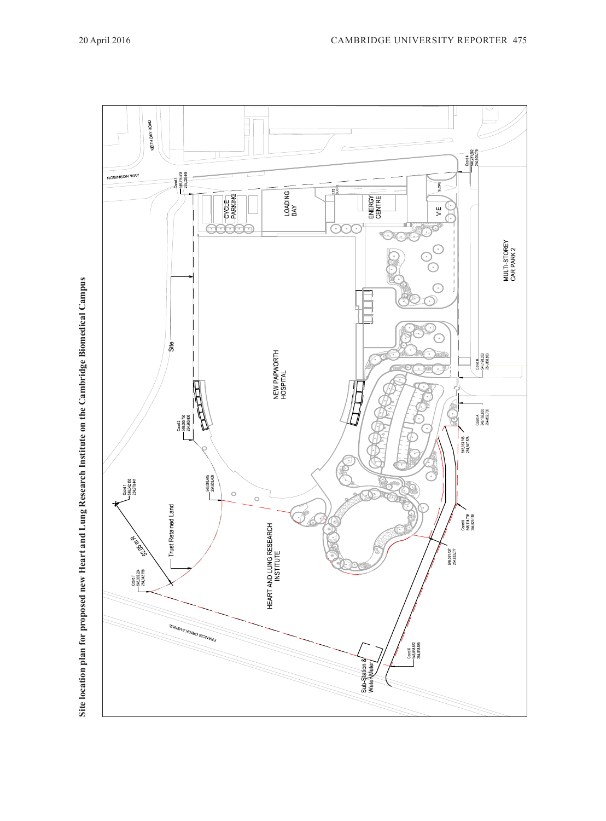

Site location plan for proposed new Heart and Lung Research Institute on the Cambridge Biomedical Campus **Site location plan for proposed new Heart and Lung Research Institute on the Cambridge Biomedical Campus**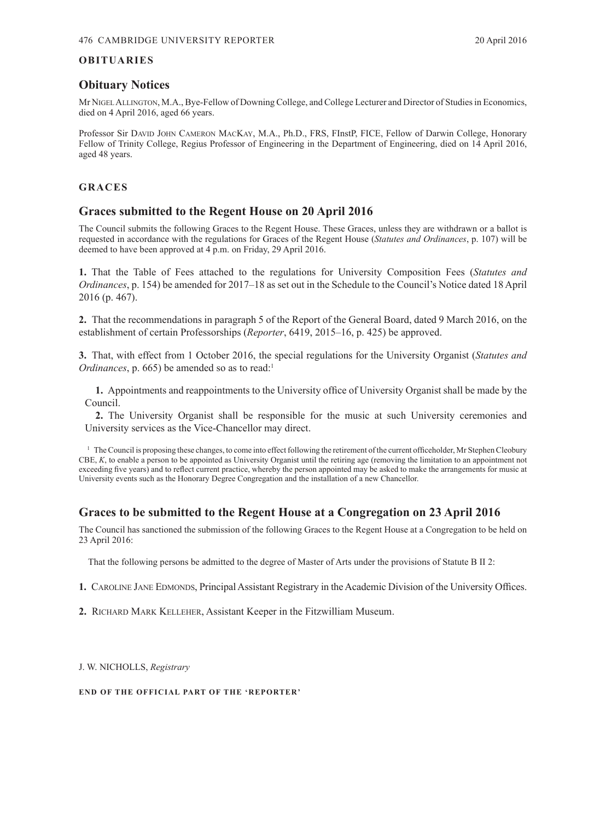## <span id="page-13-0"></span>**OBITUARIES**

## **Obituary Notices**

Mr NigelAllington, M.A., Bye-Fellow of Downing College, and College Lecturer and Director of Studies in Economics, died on 4 April 2016, aged 66 years.

Professor Sir David JOHN CAMERON MACKAY, M.A., Ph.D., FRS, FInstP, FICE, Fellow of Darwin College, Honorary Fellow of Trinity College, Regius Professor of Engineering in the Department of Engineering, died on 14 April 2016, aged 48 years.

## **GRACES**

## **Graces submitted to the Regent House on 20 April 2016**

The Council submits the following Graces to the Regent House. These Graces, unless they are withdrawn or a ballot is requested in accordance with the regulations for Graces of the Regent House (*Statutes and Ordinances*, p. 107) will be deemed to have been approved at 4 p.m. on Friday, 29 April 2016.

**1.** That the Table of Fees attached to the regulations for University Composition Fees (*Statutes and Ordinances*, p. 154) be amended for 2017–18 as set out in the Schedule to the Council's Notice dated 18 April 2016 (p. 467).

**2.** That the recommendations in paragraph 5 of the Report of the General Board, dated 9 March 2016, on the establishment of certain Professorships (*Reporter*, 6419, 2015–16, p. 425) be approved.

**3.** That, with effect from 1 October 2016, the special regulations for the University Organist (*Statutes and Ordinances*, p. 665) be amended so as to read:<sup>1</sup>

**1.** Appointments and reappointments to the University office of University Organist shall be made by the Council.

**2.** The University Organist shall be responsible for the music at such University ceremonies and University services as the Vice-Chancellor may direct.

<sup>1</sup> The Council is proposing these changes, to come into effect following the retirement of the current officeholder, Mr Stephen Cleobury CBE, *K*, to enable a person to be appointed as University Organist until the retiring age (removing the limitation to an appointment not exceeding five years) and to reflect current practice, whereby the person appointed may be asked to make the arrangements for music at University events such as the Honorary Degree Congregation and the installation of a new Chancellor.

## **Graces to be submitted to the Regent House at a Congregation on 23 April 2016**

The Council has sanctioned the submission of the following Graces to the Regent House at a Congregation to be held on 23 April 2016:

That the following persons be admitted to the degree of Master of Arts under the provisions of Statute B II 2:

- **1.** CAROLINE JANE EDMONDS, Principal Assistant Registrary in the Academic Division of the University Offices.
- **2.** Richard Mark Kelleher, Assistant Keeper in the Fitzwilliam Museum.

J. W. NICHOLLS, *Registrary*

**END OF THE OFFICIAL PART OF THE 'REPORTER'**